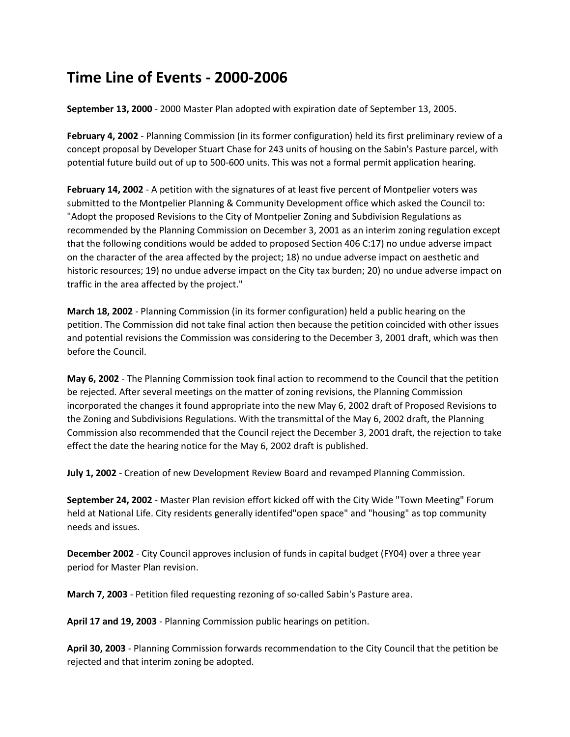## **Time Line of Events - 2000-2006**

**September 13, 2000** - 2000 Master Plan adopted with expiration date of September 13, 2005.

**February 4, 2002** - Planning Commission (in its former configuration) held its first preliminary review of a concept proposal by Developer Stuart Chase for 243 units of housing on the Sabin's Pasture parcel, with potential future build out of up to 500-600 units. This was not a formal permit application hearing.

**February 14, 2002** - A petition with the signatures of at least five percent of Montpelier voters was submitted to the Montpelier Planning & Community Development office which asked the Council to: "Adopt the proposed Revisions to the City of Montpelier Zoning and Subdivision Regulations as recommended by the Planning Commission on December 3, 2001 as an interim zoning regulation except that the following conditions would be added to proposed Section 406 C:17) no undue adverse impact on the character of the area affected by the project; 18) no undue adverse impact on aesthetic and historic resources; 19) no undue adverse impact on the City tax burden; 20) no undue adverse impact on traffic in the area affected by the project."

**March 18, 2002** - Planning Commission (in its former configuration) held a public hearing on the petition. The Commission did not take final action then because the petition coincided with other issues and potential revisions the Commission was considering to the December 3, 2001 draft, which was then before the Council.

**May 6, 2002** - The Planning Commission took final action to recommend to the Council that the petition be rejected. After several meetings on the matter of zoning revisions, the Planning Commission incorporated the changes it found appropriate into the new May 6, 2002 draft of Proposed Revisions to the Zoning and Subdivisions Regulations. With the transmittal of the May 6, 2002 draft, the Planning Commission also recommended that the Council reject the December 3, 2001 draft, the rejection to take effect the date the hearing notice for the May 6, 2002 draft is published.

**July 1, 2002** - Creation of new Development Review Board and revamped Planning Commission.

**September 24, 2002** - Master Plan revision effort kicked off with the City Wide "Town Meeting" Forum held at National Life. City residents generally identifed"open space" and "housing" as top community needs and issues.

**December 2002** - City Council approves inclusion of funds in capital budget (FY04) over a three year period for Master Plan revision.

**March 7, 2003** - Petition filed requesting rezoning of so-called Sabin's Pasture area.

**April 17 and 19, 2003** - Planning Commission public hearings on petition.

**April 30, 2003** - Planning Commission forwards recommendation to the City Council that the petition be rejected and that interim zoning be adopted.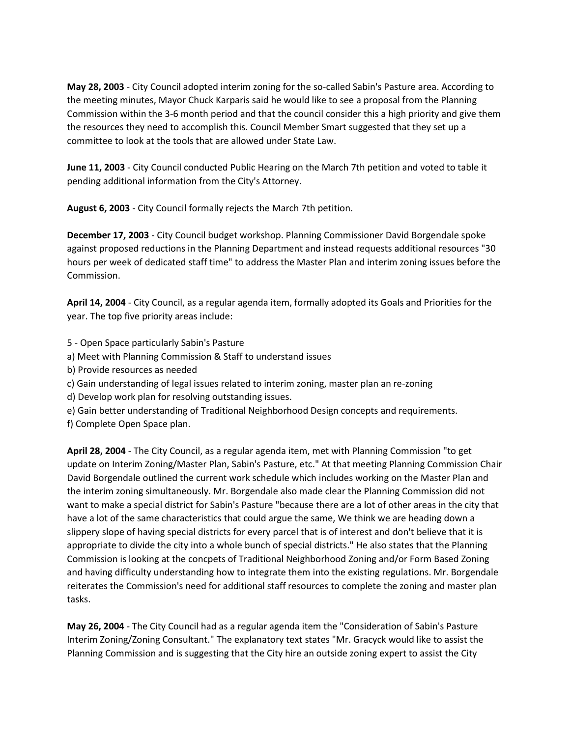**May 28, 2003** - City Council adopted interim zoning for the so-called Sabin's Pasture area. According to the meeting minutes, Mayor Chuck Karparis said he would like to see a proposal from the Planning Commission within the 3-6 month period and that the council consider this a high priority and give them the resources they need to accomplish this. Council Member Smart suggested that they set up a committee to look at the tools that are allowed under State Law.

**June 11, 2003** - City Council conducted Public Hearing on the March 7th petition and voted to table it pending additional information from the City's Attorney.

**August 6, 2003** - City Council formally rejects the March 7th petition.

**December 17, 2003** - City Council budget workshop. Planning Commissioner David Borgendale spoke against proposed reductions in the Planning Department and instead requests additional resources "30 hours per week of dedicated staff time" to address the Master Plan and interim zoning issues before the Commission.

**April 14, 2004** - City Council, as a regular agenda item, formally adopted its Goals and Priorities for the year. The top five priority areas include:

- 5 Open Space particularly Sabin's Pasture
- a) Meet with Planning Commission & Staff to understand issues
- b) Provide resources as needed
- c) Gain understanding of legal issues related to interim zoning, master plan an re-zoning
- d) Develop work plan for resolving outstanding issues.
- e) Gain better understanding of Traditional Neighborhood Design concepts and requirements.
- f) Complete Open Space plan.

**April 28, 2004** - The City Council, as a regular agenda item, met with Planning Commission "to get update on Interim Zoning/Master Plan, Sabin's Pasture, etc." At that meeting Planning Commission Chair David Borgendale outlined the current work schedule which includes working on the Master Plan and the interim zoning simultaneously. Mr. Borgendale also made clear the Planning Commission did not want to make a special district for Sabin's Pasture "because there are a lot of other areas in the city that have a lot of the same characteristics that could argue the same, We think we are heading down a slippery slope of having special districts for every parcel that is of interest and don't believe that it is appropriate to divide the city into a whole bunch of special districts." He also states that the Planning Commission is looking at the concpets of Traditional Neighborhood Zoning and/or Form Based Zoning and having difficulty understanding how to integrate them into the existing regulations. Mr. Borgendale reiterates the Commission's need for additional staff resources to complete the zoning and master plan tasks.

**May 26, 2004** - The City Council had as a regular agenda item the "Consideration of Sabin's Pasture Interim Zoning/Zoning Consultant." The explanatory text states "Mr. Gracyck would like to assist the Planning Commission and is suggesting that the City hire an outside zoning expert to assist the City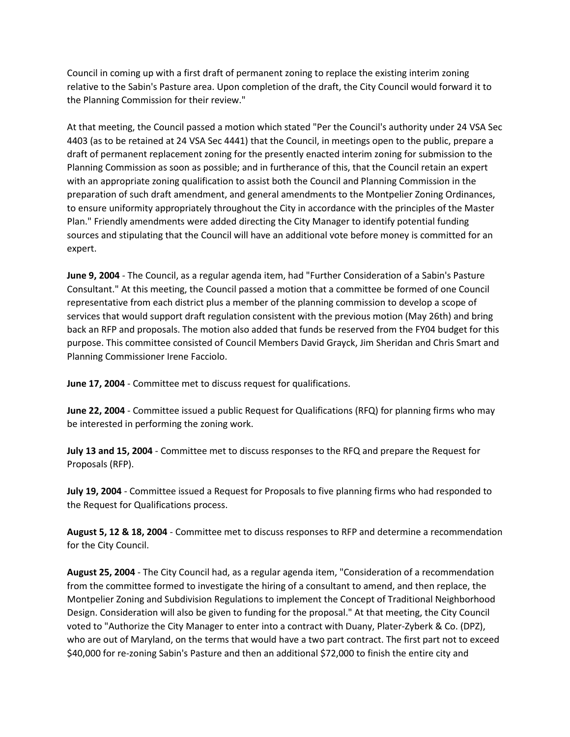Council in coming up with a first draft of permanent zoning to replace the existing interim zoning relative to the Sabin's Pasture area. Upon completion of the draft, the City Council would forward it to the Planning Commission for their review."

At that meeting, the Council passed a motion which stated "Per the Council's authority under 24 VSA Sec 4403 (as to be retained at 24 VSA Sec 4441) that the Council, in meetings open to the public, prepare a draft of permanent replacement zoning for the presently enacted interim zoning for submission to the Planning Commission as soon as possible; and in furtherance of this, that the Council retain an expert with an appropriate zoning qualification to assist both the Council and Planning Commission in the preparation of such draft amendment, and general amendments to the Montpelier Zoning Ordinances, to ensure uniformity appropriately throughout the City in accordance with the principles of the Master Plan." Friendly amendments were added directing the City Manager to identify potential funding sources and stipulating that the Council will have an additional vote before money is committed for an expert.

**June 9, 2004** - The Council, as a regular agenda item, had "Further Consideration of a Sabin's Pasture Consultant." At this meeting, the Council passed a motion that a committee be formed of one Council representative from each district plus a member of the planning commission to develop a scope of services that would support draft regulation consistent with the previous motion (May 26th) and bring back an RFP and proposals. The motion also added that funds be reserved from the FY04 budget for this purpose. This committee consisted of Council Members David Grayck, Jim Sheridan and Chris Smart and Planning Commissioner Irene Facciolo.

**June 17, 2004** - Committee met to discuss request for qualifications.

**June 22, 2004** - Committee issued a public Request for Qualifications (RFQ) for planning firms who may be interested in performing the zoning work.

**July 13 and 15, 2004** - Committee met to discuss responses to the RFQ and prepare the Request for Proposals (RFP).

**July 19, 2004** - Committee issued a Request for Proposals to five planning firms who had responded to the Request for Qualifications process.

**August 5, 12 & 18, 2004** - Committee met to discuss responses to RFP and determine a recommendation for the City Council.

**August 25, 2004** - The City Council had, as a regular agenda item, "Consideration of a recommendation from the committee formed to investigate the hiring of a consultant to amend, and then replace, the Montpelier Zoning and Subdivision Regulations to implement the Concept of Traditional Neighborhood Design. Consideration will also be given to funding for the proposal." At that meeting, the City Council voted to "Authorize the City Manager to enter into a contract with Duany, Plater-Zyberk & Co. (DPZ), who are out of Maryland, on the terms that would have a two part contract. The first part not to exceed \$40,000 for re-zoning Sabin's Pasture and then an additional \$72,000 to finish the entire city and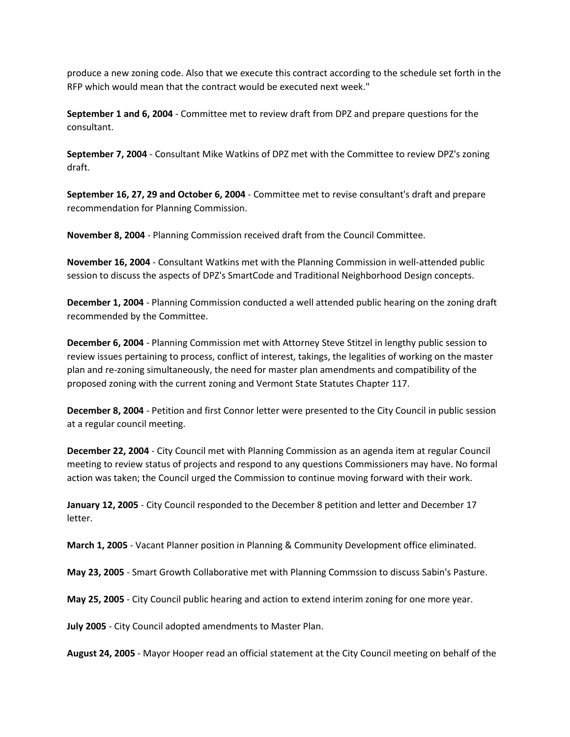produce a new zoning code. Also that we execute this contract according to the schedule set forth in the RFP which would mean that the contract would be executed next week."

**September 1 and 6, 2004** - Committee met to review draft from DPZ and prepare questions for the consultant.

**September 7, 2004** - Consultant Mike Watkins of DPZ met with the Committee to review DPZ's zoning draft.

**September 16, 27, 29 and October 6, 2004** - Committee met to revise consultant's draft and prepare recommendation for Planning Commission.

**November 8, 2004** - Planning Commission received draft from the Council Committee.

**November 16, 2004** - Consultant Watkins met with the Planning Commission in well-attended public session to discuss the aspects of DPZ's SmartCode and Traditional Neighborhood Design concepts.

**December 1, 2004** - Planning Commission conducted a well attended public hearing on the zoning draft recommended by the Committee.

**December 6, 2004** - Planning Commission met with Attorney Steve Stitzel in lengthy public session to review issues pertaining to process, conflict of interest, takings, the legalities of working on the master plan and re-zoning simultaneously, the need for master plan amendments and compatibility of the proposed zoning with the current zoning and Vermont State Statutes Chapter 117.

**December 8, 2004** - Petition and first Connor letter were presented to the City Council in public session at a regular council meeting.

**December 22, 2004** - City Council met with Planning Commission as an agenda item at regular Council meeting to review status of projects and respond to any questions Commissioners may have. No formal action was taken; the Council urged the Commission to continue moving forward with their work.

**January 12, 2005** - City Council responded to the December 8 petition and letter and December 17 letter.

**March 1, 2005** - Vacant Planner position in Planning & Community Development office eliminated.

**May 23, 2005** - Smart Growth Collaborative met with Planning Commssion to discuss Sabin's Pasture.

**May 25, 2005** - City Council public hearing and action to extend interim zoning for one more year.

**July 2005** - City Council adopted amendments to Master Plan.

**August 24, 2005** - Mayor Hooper read an official statement at the City Council meeting on behalf of the